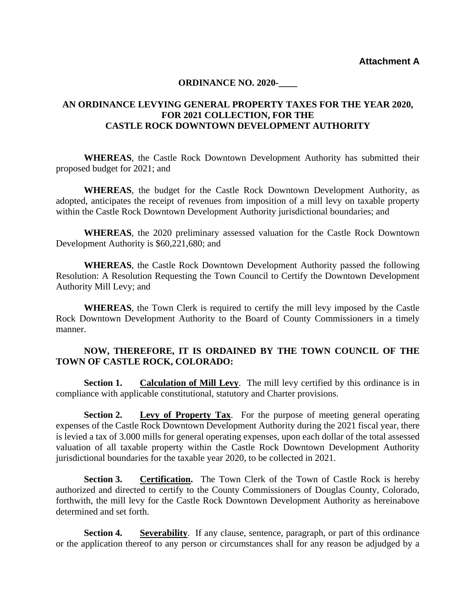**Attachment A**

## **ORDINANCE NO. 2020-**

## **AN ORDINANCE LEVYING GENERAL PROPERTY TAXES FOR THE YEAR 2020, FOR 2021 COLLECTION, FOR THE CASTLE ROCK DOWNTOWN DEVELOPMENT AUTHORITY**

**WHEREAS**, the Castle Rock Downtown Development Authority has submitted their proposed budget for 2021; and

**WHEREAS**, the budget for the Castle Rock Downtown Development Authority, as adopted, anticipates the receipt of revenues from imposition of a mill levy on taxable property within the Castle Rock Downtown Development Authority jurisdictional boundaries; and

**WHEREAS**, the 2020 preliminary assessed valuation for the Castle Rock Downtown Development Authority is \$60,221,680; and

**WHEREAS**, the Castle Rock Downtown Development Authority passed the following Resolution: A Resolution Requesting the Town Council to Certify the Downtown Development Authority Mill Levy; and

**WHEREAS**, the Town Clerk is required to certify the mill levy imposed by the Castle Rock Downtown Development Authority to the Board of County Commissioners in a timely manner.

## **NOW, THEREFORE, IT IS ORDAINED BY THE TOWN COUNCIL OF THE TOWN OF CASTLE ROCK, COLORADO:**

**Section 1. Calculation of Mill Levy**. The mill levy certified by this ordinance is in compliance with applicable constitutional, statutory and Charter provisions.

**Section 2. Levy of Property Tax**. For the purpose of meeting general operating expenses of the Castle Rock Downtown Development Authority during the 2021 fiscal year, there is levied a tax of 3.000 mills for general operating expenses, upon each dollar of the total assessed valuation of all taxable property within the Castle Rock Downtown Development Authority jurisdictional boundaries for the taxable year 2020, to be collected in 2021.

**Section 3.** Certification. The Town Clerk of the Town of Castle Rock is hereby authorized and directed to certify to the County Commissioners of Douglas County, Colorado, forthwith, the mill levy for the Castle Rock Downtown Development Authority as hereinabove determined and set forth.

**Section 4.** Severability. If any clause, sentence, paragraph, or part of this ordinance or the application thereof to any person or circumstances shall for any reason be adjudged by a